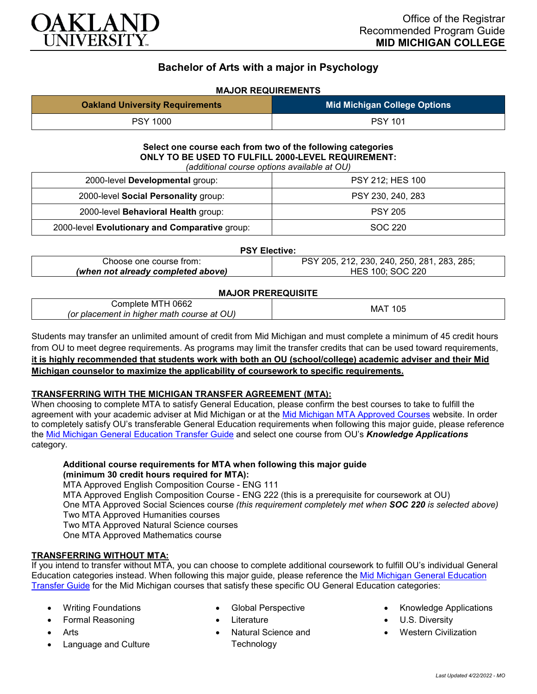

# **Bachelor of Arts with a major in Psychology**

# **MAJOR REQUIREMENTS**

| <b>Oakland University Requirements</b> | <b>Mid Michigan College Options</b> |
|----------------------------------------|-------------------------------------|
| <b>PSY 1000</b>                        | <b>PSY 101</b>                      |

#### **Select one course each from two of the following categories ONLY TO BE USED TO FULFILL 2000-LEVEL REQUIREMENT:** *(additional course options available at OU)*

| (additional course options available at OO)    |                   |  |
|------------------------------------------------|-------------------|--|
| 2000-level Developmental group:                | PSY 212; HES 100  |  |
| 2000-level Social Personality group:           | PSY 230, 240, 283 |  |
| 2000-level Behavioral Health group:            | <b>PSY 205</b>    |  |
| 2000-level Evolutionary and Comparative group: | SOC 220           |  |

#### **PSY Elective:**

| Choose one course from:            | ' 205, 212, 230, 240, 250, 281, 283, 285; |
|------------------------------------|-------------------------------------------|
| (when not already completed above) | ` 100: SOC  ∠<br>220<br><b>HES</b>        |

# **MAJOR PREREQUISITE**

| 0662<br>$\cup$ omplete M I H $\cup$        | MA1<br>105 |  |
|--------------------------------------------|------------|--|
| (or placement in higher math course at OU) |            |  |

Students may transfer an unlimited amount of credit from Mid Michigan and must complete a minimum of 45 credit hours from OU to meet degree requirements. As programs may limit the transfer credits that can be used toward requirements, **it is highly recommended that students work with both an OU (school/college) academic adviser and their Mid Michigan counselor to maximize the applicability of coursework to specific requirements.**

# **TRANSFERRING WITH THE MICHIGAN TRANSFER AGREEMENT (MTA):**

When choosing to complete MTA to satisfy General Education, please confirm the best courses to take to fulfill the agreement with your academic adviser at Mid Michigan or at the [Mid Michigan MTA Approved Courses](https://www.midmich.edu/academics/transfer/mta) website. In order to completely satisfy OU's transferable General Education requirements when following this major guide, please reference the [Mid Michigan General Education Transfer Guide](https://www.oakland.edu/Assets/Oakland/program-guides/mid-michigan-community-college/university-general-education-requirements/Mid%20Michigan%20Gen%20Ed.pdf) and select one course from OU's *Knowledge Applications* category.

# **Additional course requirements for MTA when following this major guide (minimum 30 credit hours required for MTA):**

MTA Approved English Composition Course - ENG 111 MTA Approved English Composition Course - ENG 222 (this is a prerequisite for coursework at OU) One MTA Approved Social Sciences course *(this requirement completely met when SOC 220 is selected above)* Two MTA Approved Humanities courses Two MTA Approved Natural Science courses One MTA Approved Mathematics course

# **TRANSFERRING WITHOUT MTA:**

If you intend to transfer without MTA, you can choose to complete additional coursework to fulfill OU's individual General Education categories instead. When following this major guide, please reference the [Mid Michigan General Education](https://www.oakland.edu/Assets/Oakland/program-guides/mid-michigan-community-college/university-general-education-requirements/Mid%20Michigan%20Gen%20Ed.pdf)  [Transfer Guide](https://www.oakland.edu/Assets/Oakland/program-guides/mid-michigan-community-college/university-general-education-requirements/Mid%20Michigan%20Gen%20Ed.pdf) for the Mid Michigan courses that satisfy these specific OU General Education categories:

- Writing Foundations
- Formal Reasoning
- **Arts**
- Language and Culture
- Global Perspective
- **Literature** 
	- Natural Science and **Technology**
- Knowledge Applications
- U.S. Diversity
- Western Civilization